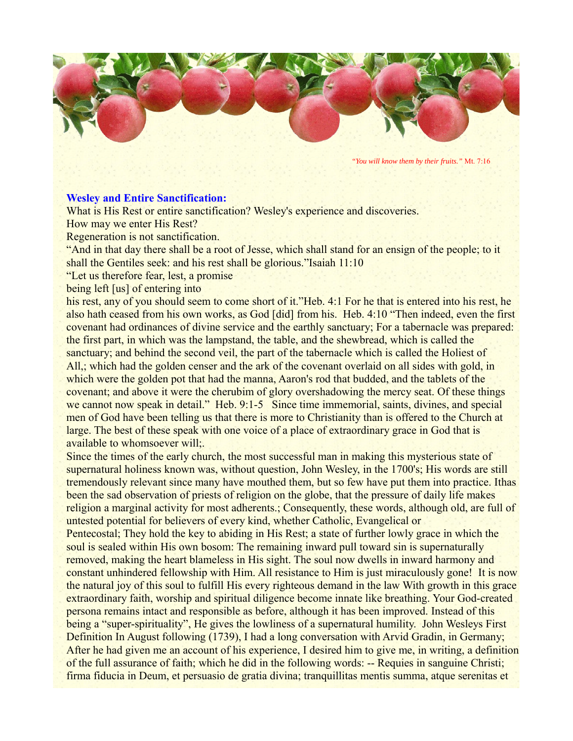

*"You will know them by their fruits."* Mt. 7:16

## **Wesley and Entire Sanctification:**

What is His Rest or entire sanctification? Wesley's experience and discoveries.

How may we enter His Rest?

Regeneration is not sanctification.

"And in that day there shall be a root of Jesse, which shall stand for an ensign of the people; to it shall the Gentiles seek: and his rest shall be glorious."Isaiah 11:10

"Let us therefore fear, lest, a promise

being left [us] of entering into

his rest, any of you should seem to come short of it."Heb. 4:1 For he that is entered into his rest, he also hath ceased from his own works, as God [did] from his. Heb. 4:10 "Then indeed, even the first covenant had ordinances of divine service and the earthly sanctuary; For a tabernacle was prepared: the first part, in which was the lampstand, the table, and the shewbread, which is called the sanctuary; and behind the second veil, the part of the tabernacle which is called the Holiest of All, which had the golden censer and the ark of the covenant overlaid on all sides with gold, in which were the golden pot that had the manna, Aaron's rod that budded, and the tablets of the covenant; and above it were the cherubim of glory overshadowing the mercy seat. Of these things we cannot now speak in detail." Heb. 9:1-5 Since time immemorial, saints, divines, and special men of God have been telling us that there is more to Christianity than is offered to the Church at large. The best of these speak with one voice of a place of extraordinary grace in God that is available to whomsoever will;.

Since the times of the early church, the most successful man in making this mysterious state of supernatural holiness known was, without question, John Wesley, in the 1700's; His words are still tremendously relevant since many have mouthed them, but so few have put them into practice. Ithas been the sad observation of priests of religion on the globe, that the pressure of daily life makes religion a marginal activity for most adherents.; Consequently, these words, although old, are full of untested potential for believers of every kind, whether Catholic, Evangelical or

Pentecostal; They hold the key to abiding in His Rest; a state of further lowly grace in which the soul is sealed within His own bosom: The remaining inward pull toward sin is supernaturally removed, making the heart blameless in His sight. The soul now dwells in inward harmony and constant unhindered fellowship with Him. All resistance to Him is just miraculously gone! It is now the natural joy of this soul to fulfill His every righteous demand in the law With growth in this grace extraordinary faith, worship and spiritual diligence become innate like breathing. Your God-created persona remains intact and responsible as before, although it has been improved. Instead of this being a "super-spirituality", He gives the lowliness of a supernatural humility. John Wesleys First Definition In August following (1739), I had a long conversation with Arvid Gradin, in Germany; After he had given me an account of his experience, I desired him to give me, in writing, a definition of the full assurance of faith; which he did in the following words: -- Requies in sanguine Christi; firma fiducia in Deum, et persuasio de gratia divina; tranquillitas mentis summa, atque serenitas et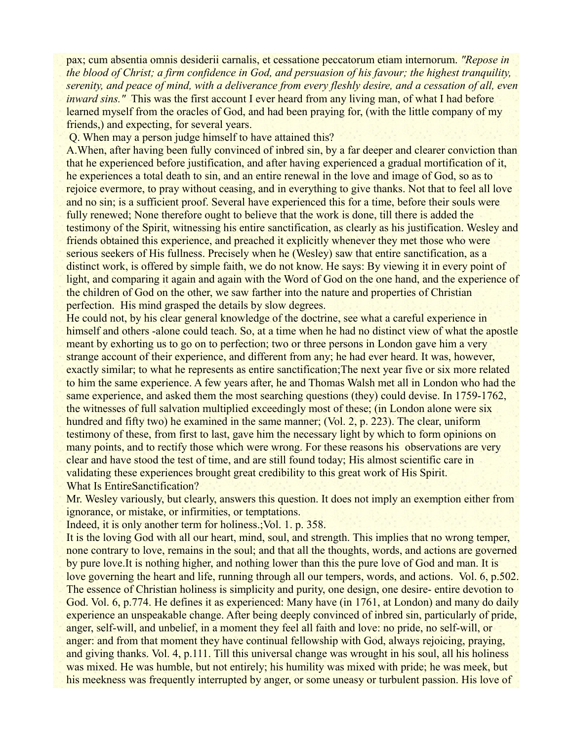pax; cum absentia omnis desiderii carnalis, et cessatione peccatorum etiam internorum. *"Repose in the blood of Christ; a firm confidence in God, and persuasion of his favour; the highest tranquility, serenity, and peace of mind, with a deliverance from every fleshly desire, and a cessation of all, even inward sins."* This was the first account I ever heard from any living man, of what I had before learned myself from the oracles of God, and had been praying for, (with the little company of my friends,) and expecting, for several years.

Q. When may a person judge himself to have attained this?

A.When, after having been fully convinced of inbred sin, by a far deeper and clearer conviction than that he experienced before justification, and after having experienced a gradual mortification of it, he experiences a total death to sin, and an entire renewal in the love and image of God, so as to rejoice evermore, to pray without ceasing, and in everything to give thanks. Not that to feel all love and no sin; is a sufficient proof. Several have experienced this for a time, before their souls were fully renewed; None therefore ought to believe that the work is done, till there is added the testimony of the Spirit, witnessing his entire sanctification, as clearly as his justification. Wesley and friends obtained this experience, and preached it explicitly whenever they met those who were serious seekers of His fullness. Precisely when he (Wesley) saw that entire sanctification, as a distinct work, is offered by simple faith, we do not know. He says: By viewing it in every point of light, and comparing it again and again with the Word of God on the one hand, and the experience of the children of God on the other, we saw farther into the nature and properties of Christian perfection. His mind grasped the details by slow degrees.

He could not, by his clear general knowledge of the doctrine, see what a careful experience in himself and others -alone could teach. So, at a time when he had no distinct view of what the apostle meant by exhorting us to go on to perfection; two or three persons in London gave him a very strange account of their experience, and different from any; he had ever heard. It was, however, exactly similar; to what he represents as entire sanctification;The next year five or six more related to him the same experience. A few years after, he and Thomas Walsh met all in London who had the same experience, and asked them the most searching questions (they) could devise. In 1759-1762, the witnesses of full salvation multiplied exceedingly most of these; (in London alone were six hundred and fifty two) he examined in the same manner; (Vol. 2, p. 223). The clear, uniform testimony of these, from first to last, gave him the necessary light by which to form opinions on many points, and to rectify those which were wrong. For these reasons his observations are very clear and have stood the test of time, and are still found today; His almost scientific care in validating these experiences brought great credibility to this great work of His Spirit. What Is EntireSanctification?

Mr. Wesley variously, but clearly, answers this question. It does not imply an exemption either from ignorance, or mistake, or infirmities, or temptations.

Indeed, it is only another term for holiness.; Vol. 1. p. 358.

It is the loving God with all our heart, mind, soul, and strength. This implies that no wrong temper, none contrary to love, remains in the soul; and that all the thoughts, words, and actions are governed by pure love.It is nothing higher, and nothing lower than this the pure love of God and man. It is love governing the heart and life, running through all our tempers, words, and actions. Vol. 6, p.502. The essence of Christian holiness is simplicity and purity, one design, one desire- entire devotion to God. Vol. 6, p.774. He defines it as experienced: Many have (in 1761, at London) and many do daily experience an unspeakable change. After being deeply convinced of inbred sin, particularly of pride, anger, self-will, and unbelief, in a moment they feel all faith and love: no pride, no self-will, or anger: and from that moment they have continual fellowship with God, always rejoicing, praying, and giving thanks. Vol. 4, p.111. Till this universal change was wrought in his soul, all his holiness was mixed. He was humble, but not entirely; his humility was mixed with pride; he was meek, but his meekness was frequently interrupted by anger, or some uneasy or turbulent passion. His love of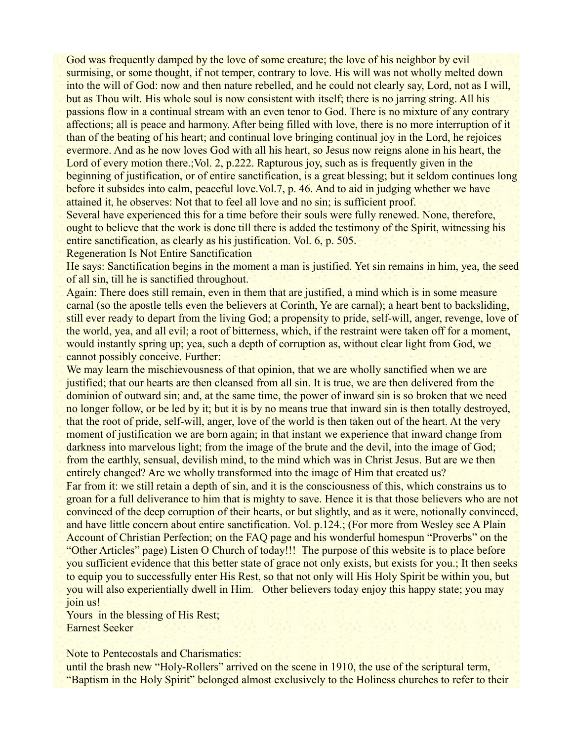God was frequently damped by the love of some creature; the love of his neighbor by evil surmising, or some thought, if not temper, contrary to love. His will was not wholly melted down into the will of God: now and then nature rebelled, and he could not clearly say, Lord, not as I will, but as Thou wilt. His whole soul is now consistent with itself; there is no jarring string. All his passions flow in a continual stream with an even tenor to God. There is no mixture of any contrary affections; all is peace and harmony. After being filled with love, there is no more interruption of it than of the beating of his heart; and continual love bringing continual joy in the Lord, he rejoices evermore. And as he now loves God with all his heart, so Jesus now reigns alone in his heart, the Lord of every motion there.; Vol. 2, p.222. Rapturous joy, such as is frequently given in the beginning of justification, or of entire sanctification, is a great blessing; but it seldom continues long before it subsides into calm, peaceful love.Vol.7, p. 46. And to aid in judging whether we have attained it, he observes: Not that to feel all love and no sin; is sufficient proof.

Several have experienced this for a time before their souls were fully renewed. None, therefore, ought to believe that the work is done till there is added the testimony of the Spirit, witnessing his entire sanctification, as clearly as his justification. Vol. 6, p. 505.

Regeneration Is Not Entire Sanctification

He says: Sanctification begins in the moment a man is justified. Yet sin remains in him, yea, the seed of all sin, till he is sanctified throughout.

Again: There does still remain, even in them that are justified, a mind which is in some measure carnal (so the apostle tells even the believers at Corinth, Ye are carnal); a heart bent to backsliding, still ever ready to depart from the living God; a propensity to pride, self-will, anger, revenge, love of the world, yea, and all evil; a root of bitterness, which, if the restraint were taken off for a moment, would instantly spring up; yea, such a depth of corruption as, without clear light from God, we cannot possibly conceive. Further:

We may learn the mischievousness of that opinion, that we are wholly sanctified when we are justified; that our hearts are then cleansed from all sin. It is true, we are then delivered from the dominion of outward sin; and, at the same time, the power of inward sin is so broken that we need no longer follow, or be led by it; but it is by no means true that inward sin is then totally destroyed, that the root of pride, self-will, anger, love of the world is then taken out of the heart. At the very moment of justification we are born again; in that instant we experience that inward change from darkness into marvelous light; from the image of the brute and the devil, into the image of God; from the earthly, sensual, devilish mind, to the mind which was in Christ Jesus. But are we then entirely changed? Are we wholly transformed into the image of Him that created us?

Far from it: we still retain a depth of sin, and it is the consciousness of this, which constrains us to groan for a full deliverance to him that is mighty to save. Hence it is that those believers who are not convinced of the deep corruption of their hearts, or but slightly, and as it were, notionally convinced, and have little concern about entire sanctification. Vol. p.124.; (For more from Wesley see A Plain Account of Christian Perfection; on the FAQ page and his wonderful homespun "Proverbs" on the "Other Articles" page) Listen O Church of today!!! The purpose of this website is to place before you sufficient evidence that this better state of grace not only exists, but exists for you.; It then seeks to equip you to successfully enter His Rest, so that not only will His Holy Spirit be within you, but you will also experientially dwell in Him. Other believers today enjoy this happy state; you may join us!

Yours in the blessing of His Rest; Earnest Seeker

Note to Pentecostals and Charismatics:

until the brash new "Holy-Rollers" arrived on the scene in 1910, the use of the scriptural term, "Baptism in the Holy Spirit" belonged almost exclusively to the Holiness churches to refer to their